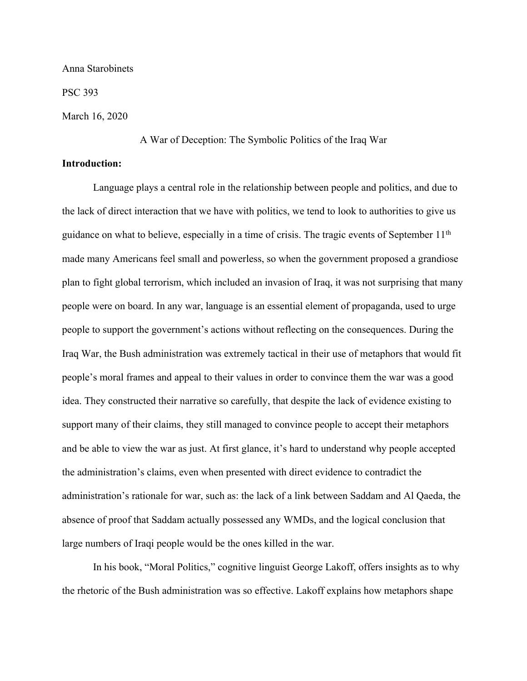Anna Starobinets

PSC 393

March 16, 2020

A War of Deception: The Symbolic Politics of the Iraq War

## **Introduction:**

Language plays a central role in the relationship between people and politics, and due to the lack of direct interaction that we have with politics, we tend to look to authorities to give us guidance on what to believe, especially in a time of crisis. The tragic events of September 11th made many Americans feel small and powerless, so when the government proposed a grandiose plan to fight global terrorism, which included an invasion of Iraq, it was not surprising that many people were on board. In any war, language is an essential element of propaganda, used to urge people to support the government's actions without reflecting on the consequences. During the Iraq War, the Bush administration was extremely tactical in their use of metaphors that would fit people's moral frames and appeal to their values in order to convince them the war was a good idea. They constructed their narrative so carefully, that despite the lack of evidence existing to support many of their claims, they still managed to convince people to accept their metaphors and be able to view the war as just. At first glance, it's hard to understand why people accepted the administration's claims, even when presented with direct evidence to contradict the administration's rationale for war, such as: the lack of a link between Saddam and Al Qaeda, the absence of proof that Saddam actually possessed any WMDs, and the logical conclusion that large numbers of Iraqi people would be the ones killed in the war.

In his book, "Moral Politics," cognitive linguist George Lakoff, offers insights as to why the rhetoric of the Bush administration was so effective. Lakoff explains how metaphors shape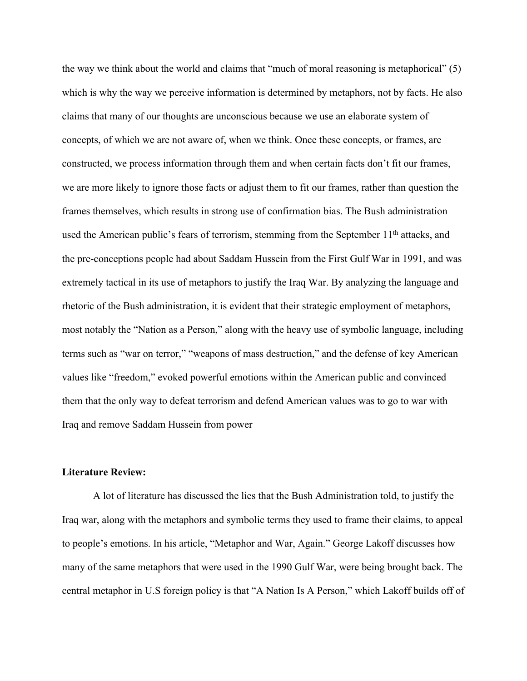the way we think about the world and claims that "much of moral reasoning is metaphorical" (5) which is why the way we perceive information is determined by metaphors, not by facts. He also claims that many of our thoughts are unconscious because we use an elaborate system of concepts, of which we are not aware of, when we think. Once these concepts, or frames, are constructed, we process information through them and when certain facts don't fit our frames, we are more likely to ignore those facts or adjust them to fit our frames, rather than question the frames themselves, which results in strong use of confirmation bias. The Bush administration used the American public's fears of terrorism, stemming from the September 11<sup>th</sup> attacks, and the pre-conceptions people had about Saddam Hussein from the First Gulf War in 1991, and was extremely tactical in its use of metaphors to justify the Iraq War. By analyzing the language and rhetoric of the Bush administration, it is evident that their strategic employment of metaphors, most notably the "Nation as a Person," along with the heavy use of symbolic language, including terms such as "war on terror," "weapons of mass destruction," and the defense of key American values like "freedom," evoked powerful emotions within the American public and convinced them that the only way to defeat terrorism and defend American values was to go to war with Iraq and remove Saddam Hussein from power

# **Literature Review:**

A lot of literature has discussed the lies that the Bush Administration told, to justify the Iraq war, along with the metaphors and symbolic terms they used to frame their claims, to appeal to people's emotions. In his article, "Metaphor and War, Again." George Lakoff discusses how many of the same metaphors that were used in the 1990 Gulf War, were being brought back. The central metaphor in U.S foreign policy is that "A Nation Is A Person," which Lakoff builds off of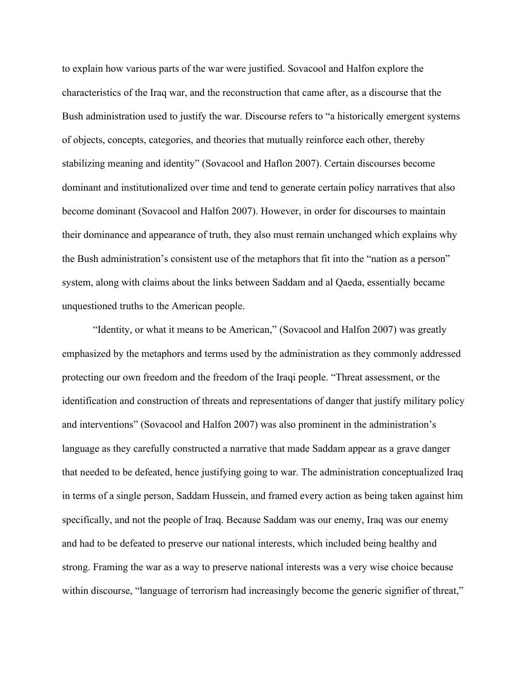to explain how various parts of the war were justified. Sovacool and Halfon explore the characteristics of the Iraq war, and the reconstruction that came after, as a discourse that the Bush administration used to justify the war. Discourse refers to "a historically emergent systems of objects, concepts, categories, and theories that mutually reinforce each other, thereby stabilizing meaning and identity" (Sovacool and Haflon 2007). Certain discourses become dominant and institutionalized over time and tend to generate certain policy narratives that also become dominant (Sovacool and Halfon 2007). However, in order for discourses to maintain their dominance and appearance of truth, they also must remain unchanged which explains why the Bush administration's consistent use of the metaphors that fit into the "nation as a person" system, along with claims about the links between Saddam and al Qaeda, essentially became unquestioned truths to the American people.

"Identity, or what it means to be American," (Sovacool and Halfon 2007) was greatly emphasized by the metaphors and terms used by the administration as they commonly addressed protecting our own freedom and the freedom of the Iraqi people. "Threat assessment, or the identification and construction of threats and representations of danger that justify military policy and interventions" (Sovacool and Halfon 2007) was also prominent in the administration's language as they carefully constructed a narrative that made Saddam appear as a grave danger that needed to be defeated, hence justifying going to war. The administration conceptualized Iraq in terms of a single person, Saddam Hussein, and framed every action as being taken against him specifically, and not the people of Iraq. Because Saddam was our enemy, Iraq was our enemy and had to be defeated to preserve our national interests, which included being healthy and strong. Framing the war as a way to preserve national interests was a very wise choice because within discourse, "language of terrorism had increasingly become the generic signifier of threat,"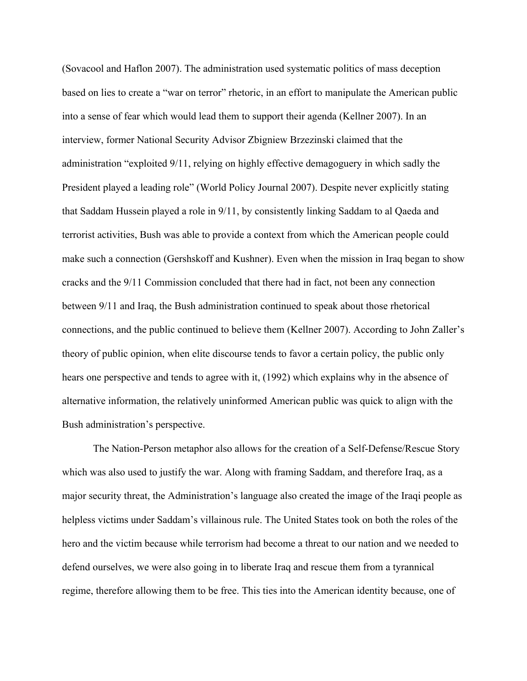(Sovacool and Haflon 2007). The administration used systematic politics of mass deception based on lies to create a "war on terror" rhetoric, in an effort to manipulate the American public into a sense of fear which would lead them to support their agenda (Kellner 2007). In an interview, former National Security Advisor Zbigniew Brzezinski claimed that the administration "exploited 9/11, relying on highly effective demagoguery in which sadly the President played a leading role" (World Policy Journal 2007). Despite never explicitly stating that Saddam Hussein played a role in 9/11, by consistently linking Saddam to al Qaeda and terrorist activities, Bush was able to provide a context from which the American people could make such a connection (Gershskoff and Kushner). Even when the mission in Iraq began to show cracks and the 9/11 Commission concluded that there had in fact, not been any connection between 9/11 and Iraq, the Bush administration continued to speak about those rhetorical connections, and the public continued to believe them (Kellner 2007). According to John Zaller's theory of public opinion, when elite discourse tends to favor a certain policy, the public only hears one perspective and tends to agree with it, (1992) which explains why in the absence of alternative information, the relatively uninformed American public was quick to align with the Bush administration's perspective.

The Nation-Person metaphor also allows for the creation of a Self-Defense/Rescue Story which was also used to justify the war. Along with framing Saddam, and therefore Iraq, as a major security threat, the Administration's language also created the image of the Iraqi people as helpless victims under Saddam's villainous rule. The United States took on both the roles of the hero and the victim because while terrorism had become a threat to our nation and we needed to defend ourselves, we were also going in to liberate Iraq and rescue them from a tyrannical regime, therefore allowing them to be free. This ties into the American identity because, one of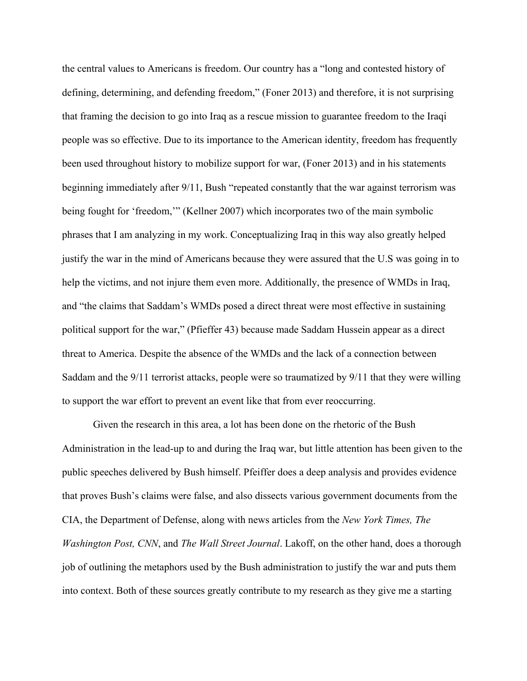the central values to Americans is freedom. Our country has a "long and contested history of defining, determining, and defending freedom," (Foner 2013) and therefore, it is not surprising that framing the decision to go into Iraq as a rescue mission to guarantee freedom to the Iraqi people was so effective. Due to its importance to the American identity, freedom has frequently been used throughout history to mobilize support for war, (Foner 2013) and in his statements beginning immediately after 9/11, Bush "repeated constantly that the war against terrorism was being fought for 'freedom,'" (Kellner 2007) which incorporates two of the main symbolic phrases that I am analyzing in my work. Conceptualizing Iraq in this way also greatly helped justify the war in the mind of Americans because they were assured that the U.S was going in to help the victims, and not injure them even more. Additionally, the presence of WMDs in Iraq, and "the claims that Saddam's WMDs posed a direct threat were most effective in sustaining political support for the war," (Pfieffer 43) because made Saddam Hussein appear as a direct threat to America. Despite the absence of the WMDs and the lack of a connection between Saddam and the 9/11 terrorist attacks, people were so traumatized by 9/11 that they were willing to support the war effort to prevent an event like that from ever reoccurring.

Given the research in this area, a lot has been done on the rhetoric of the Bush Administration in the lead-up to and during the Iraq war, but little attention has been given to the public speeches delivered by Bush himself. Pfeiffer does a deep analysis and provides evidence that proves Bush's claims were false, and also dissects various government documents from the CIA, the Department of Defense, along with news articles from the *New York Times, The Washington Post, CNN*, and *The Wall Street Journal*. Lakoff, on the other hand, does a thorough job of outlining the metaphors used by the Bush administration to justify the war and puts them into context. Both of these sources greatly contribute to my research as they give me a starting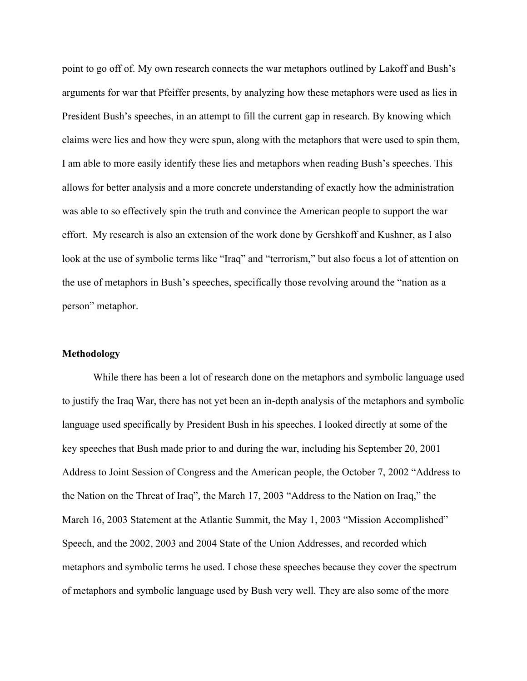point to go off of. My own research connects the war metaphors outlined by Lakoff and Bush's arguments for war that Pfeiffer presents, by analyzing how these metaphors were used as lies in President Bush's speeches, in an attempt to fill the current gap in research. By knowing which claims were lies and how they were spun, along with the metaphors that were used to spin them, I am able to more easily identify these lies and metaphors when reading Bush's speeches. This allows for better analysis and a more concrete understanding of exactly how the administration was able to so effectively spin the truth and convince the American people to support the war effort. My research is also an extension of the work done by Gershkoff and Kushner, as I also look at the use of symbolic terms like "Iraq" and "terrorism," but also focus a lot of attention on the use of metaphors in Bush's speeches, specifically those revolving around the "nation as a person" metaphor.

# **Methodology**

While there has been a lot of research done on the metaphors and symbolic language used to justify the Iraq War, there has not yet been an in-depth analysis of the metaphors and symbolic language used specifically by President Bush in his speeches. I looked directly at some of the key speeches that Bush made prior to and during the war, including his September 20, 2001 Address to Joint Session of Congress and the American people, the October 7, 2002 "Address to the Nation on the Threat of Iraq", the March 17, 2003 "Address to the Nation on Iraq," the March 16, 2003 Statement at the Atlantic Summit, the May 1, 2003 "Mission Accomplished" Speech, and the 2002, 2003 and 2004 State of the Union Addresses, and recorded which metaphors and symbolic terms he used. I chose these speeches because they cover the spectrum of metaphors and symbolic language used by Bush very well. They are also some of the more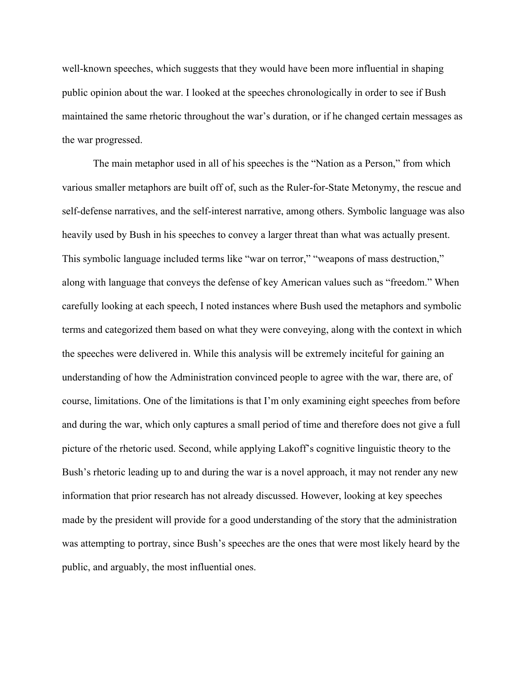well-known speeches, which suggests that they would have been more influential in shaping public opinion about the war. I looked at the speeches chronologically in order to see if Bush maintained the same rhetoric throughout the war's duration, or if he changed certain messages as the war progressed.

The main metaphor used in all of his speeches is the "Nation as a Person," from which various smaller metaphors are built off of, such as the Ruler-for-State Metonymy, the rescue and self-defense narratives, and the self-interest narrative, among others. Symbolic language was also heavily used by Bush in his speeches to convey a larger threat than what was actually present. This symbolic language included terms like "war on terror," "weapons of mass destruction," along with language that conveys the defense of key American values such as "freedom." When carefully looking at each speech, I noted instances where Bush used the metaphors and symbolic terms and categorized them based on what they were conveying, along with the context in which the speeches were delivered in. While this analysis will be extremely inciteful for gaining an understanding of how the Administration convinced people to agree with the war, there are, of course, limitations. One of the limitations is that I'm only examining eight speeches from before and during the war, which only captures a small period of time and therefore does not give a full picture of the rhetoric used. Second, while applying Lakoff's cognitive linguistic theory to the Bush's rhetoric leading up to and during the war is a novel approach, it may not render any new information that prior research has not already discussed. However, looking at key speeches made by the president will provide for a good understanding of the story that the administration was attempting to portray, since Bush's speeches are the ones that were most likely heard by the public, and arguably, the most influential ones.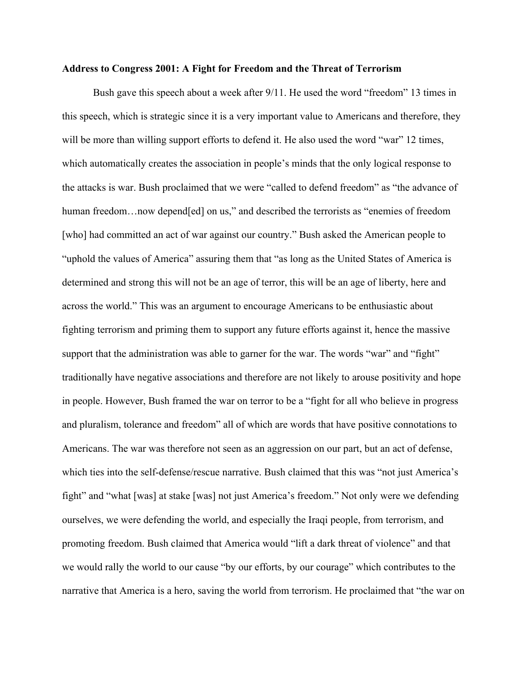## **Address to Congress 2001: A Fight for Freedom and the Threat of Terrorism**

Bush gave this speech about a week after 9/11. He used the word "freedom" 13 times in this speech, which is strategic since it is a very important value to Americans and therefore, they will be more than willing support efforts to defend it. He also used the word "war" 12 times, which automatically creates the association in people's minds that the only logical response to the attacks is war. Bush proclaimed that we were "called to defend freedom" as "the advance of human freedom...now depend [ed] on us," and described the terrorists as "enemies of freedom [who] had committed an act of war against our country." Bush asked the American people to "uphold the values of America" assuring them that "as long as the United States of America is determined and strong this will not be an age of terror, this will be an age of liberty, here and across the world." This was an argument to encourage Americans to be enthusiastic about fighting terrorism and priming them to support any future efforts against it, hence the massive support that the administration was able to garner for the war. The words "war" and "fight" traditionally have negative associations and therefore are not likely to arouse positivity and hope in people. However, Bush framed the war on terror to be a "fight for all who believe in progress and pluralism, tolerance and freedom" all of which are words that have positive connotations to Americans. The war was therefore not seen as an aggression on our part, but an act of defense, which ties into the self-defense/rescue narrative. Bush claimed that this was "not just America's fight" and "what [was] at stake [was] not just America's freedom." Not only were we defending ourselves, we were defending the world, and especially the Iraqi people, from terrorism, and promoting freedom. Bush claimed that America would "lift a dark threat of violence" and that we would rally the world to our cause "by our efforts, by our courage" which contributes to the narrative that America is a hero, saving the world from terrorism. He proclaimed that "the war on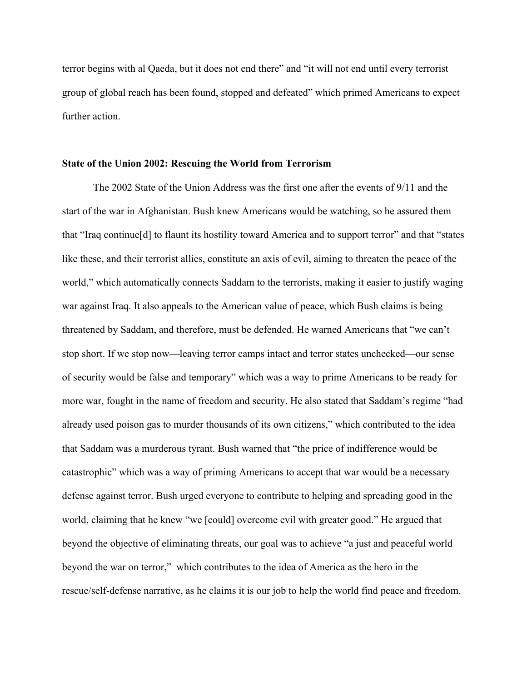terror begins with al Qaeda, but it does not end there" and "it will not end until every terrorist group of global reach has been found, stopped and defeated" which primed Americans to expect further action.

#### **State of the Union 2002: Rescuing the World from Terrorism**

The 2002 State of the Union Address was the first one after the events of 9/11 and the start of the war in Afghanistan. Bush knew Americans would be watching, so he assured them that "Iraq continue[d] to flaunt its hostility toward America and to support terror" and that "states like these, and their terrorist allies, constitute an axis of evil, aiming to threaten the peace of the world," which automatically connects Saddam to the terrorists, making it easier to justify waging war against Iraq. It also appeals to the American value of peace, which Bush claims is being threatened by Saddam, and therefore, must be defended. He warned Americans that "we can't stop short. If we stop now—leaving terror camps intact and terror states unchecked—our sense of security would be false and temporary" which was a way to prime Americans to be ready for more war, fought in the name of freedom and security. He also stated that Saddam's regime "had already used poison gas to murder thousands of its own citizens," which contributed to the idea that Saddam was a murderous tyrant. Bush warned that "the price of indifference would be catastrophic" which was a way of priming Americans to accept that war would be a necessary defense against terror. Bush urged everyone to contribute to helping and spreading good in the world, claiming that he knew "we [could] overcome evil with greater good." He argued that beyond the objective of eliminating threats, our goal was to achieve "a just and peaceful world beyond the war on terror," which contributes to the idea of America as the hero in the rescue/self-defense narrative, as he claims it is our job to help the world find peace and freedom.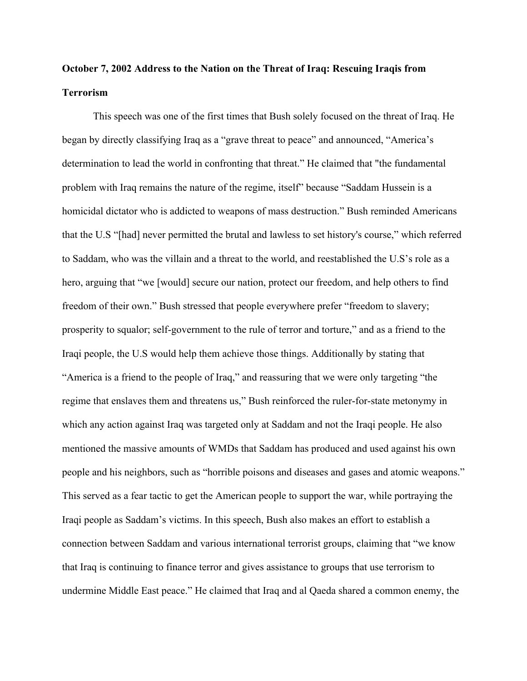# **October 7, 2002 Address to the Nation on the Threat of Iraq: Rescuing Iraqis from Terrorism**

This speech was one of the first times that Bush solely focused on the threat of Iraq. He began by directly classifying Iraq as a "grave threat to peace" and announced, "America's determination to lead the world in confronting that threat." He claimed that "the fundamental problem with Iraq remains the nature of the regime, itself" because "Saddam Hussein is a homicidal dictator who is addicted to weapons of mass destruction." Bush reminded Americans that the U.S "[had] never permitted the brutal and lawless to set history's course," which referred to Saddam, who was the villain and a threat to the world, and reestablished the U.S's role as a hero, arguing that "we [would] secure our nation, protect our freedom, and help others to find freedom of their own." Bush stressed that people everywhere prefer "freedom to slavery; prosperity to squalor; self-government to the rule of terror and torture," and as a friend to the Iraqi people, the U.S would help them achieve those things. Additionally by stating that "America is a friend to the people of Iraq," and reassuring that we were only targeting "the regime that enslaves them and threatens us," Bush reinforced the ruler-for-state metonymy in which any action against Iraq was targeted only at Saddam and not the Iraqi people. He also mentioned the massive amounts of WMDs that Saddam has produced and used against his own people and his neighbors, such as "horrible poisons and diseases and gases and atomic weapons." This served as a fear tactic to get the American people to support the war, while portraying the Iraqi people as Saddam's victims. In this speech, Bush also makes an effort to establish a connection between Saddam and various international terrorist groups, claiming that "we know that Iraq is continuing to finance terror and gives assistance to groups that use terrorism to undermine Middle East peace." He claimed that Iraq and al Qaeda shared a common enemy, the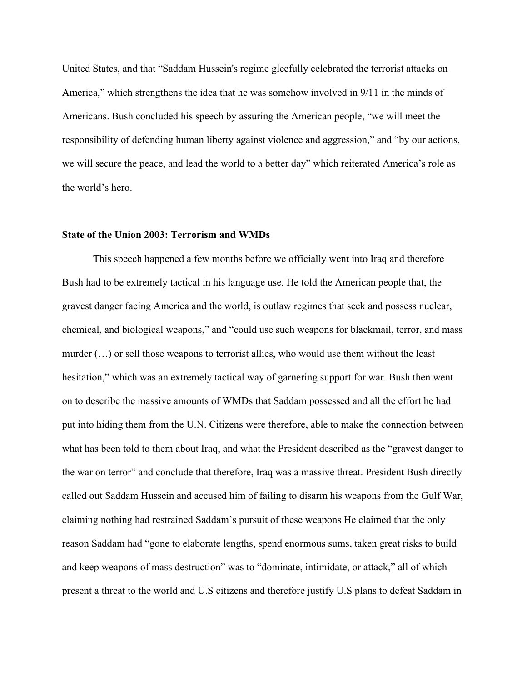United States, and that "Saddam Hussein's regime gleefully celebrated the terrorist attacks on America," which strengthens the idea that he was somehow involved in 9/11 in the minds of Americans. Bush concluded his speech by assuring the American people, "we will meet the responsibility of defending human liberty against violence and aggression," and "by our actions, we will secure the peace, and lead the world to a better day" which reiterated America's role as the world's hero.

## **State of the Union 2003: Terrorism and WMDs**

This speech happened a few months before we officially went into Iraq and therefore Bush had to be extremely tactical in his language use. He told the American people that, the gravest danger facing America and the world, is outlaw regimes that seek and possess nuclear, chemical, and biological weapons," and "could use such weapons for blackmail, terror, and mass murder (…) or sell those weapons to terrorist allies, who would use them without the least hesitation," which was an extremely tactical way of garnering support for war. Bush then went on to describe the massive amounts of WMDs that Saddam possessed and all the effort he had put into hiding them from the U.N. Citizens were therefore, able to make the connection between what has been told to them about Iraq, and what the President described as the "gravest danger to the war on terror" and conclude that therefore, Iraq was a massive threat. President Bush directly called out Saddam Hussein and accused him of failing to disarm his weapons from the Gulf War, claiming nothing had restrained Saddam's pursuit of these weapons He claimed that the only reason Saddam had "gone to elaborate lengths, spend enormous sums, taken great risks to build and keep weapons of mass destruction" was to "dominate, intimidate, or attack," all of which present a threat to the world and U.S citizens and therefore justify U.S plans to defeat Saddam in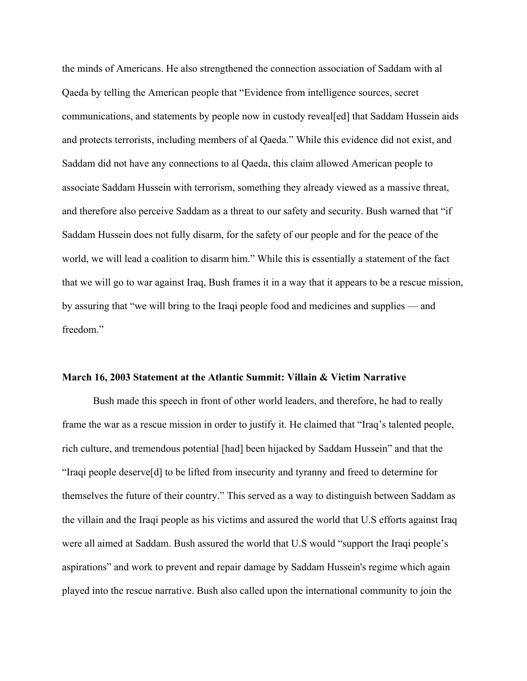the minds of Americans. He also strengthened the connection association of Saddam with al Qaeda by telling the American people that "Evidence from intelligence sources, secret communications, and statements by people now in custody reveal[ed] that Saddam Hussein aids and protects terrorists, including members of al Qaeda." While this evidence did not exist, and Saddam did not have any connections to al Qaeda, this claim allowed American people to associate Saddam Hussein with terrorism, something they already viewed as a massive threat, and therefore also perceive Saddam as a threat to our safety and security. Bush warned that "if Saddam Hussein does not fully disarm, for the safety of our people and for the peace of the world, we will lead a coalition to disarm him." While this is essentially a statement of the fact that we will go to war against Iraq, Bush frames it in a way that it appears to be a rescue mission, by assuring that "we will bring to the Iraqi people food and medicines and supplies — and freedom."

#### **March 16, 2003 Statement at the Atlantic Summit: Villain & Victim Narrative**

Bush made this speech in front of other world leaders, and therefore, he had to really frame the war as a rescue mission in order to justify it. He claimed that "Iraq's talented people, rich culture, and tremendous potential [had] been hijacked by Saddam Hussein" and that the "Iraqi people deserve[d] to be lifted from insecurity and tyranny and freed to determine for themselves the future of their country." This served as a way to distinguish between Saddam as the villain and the Iraqi people as his victims and assured the world that U.S efforts against Iraq were all aimed at Saddam. Bush assured the world that U.S would "support the Iraqi people's aspirations" and work to prevent and repair damage by Saddam Hussein's regime which again played into the rescue narrative. Bush also called upon the international community to join the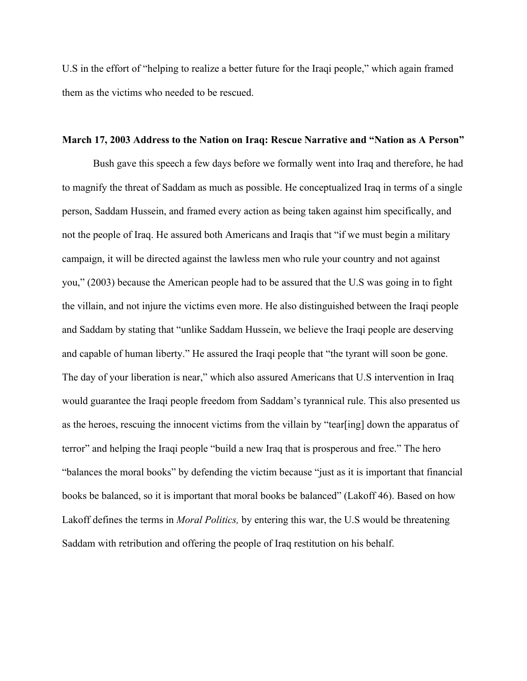U.S in the effort of "helping to realize a better future for the Iraqi people," which again framed them as the victims who needed to be rescued.

## **March 17, 2003 Address to the Nation on Iraq: Rescue Narrative and "Nation as A Person"**

Bush gave this speech a few days before we formally went into Iraq and therefore, he had to magnify the threat of Saddam as much as possible. He conceptualized Iraq in terms of a single person, Saddam Hussein, and framed every action as being taken against him specifically, and not the people of Iraq. He assured both Americans and Iraqis that "if we must begin a military campaign, it will be directed against the lawless men who rule your country and not against you," (2003) because the American people had to be assured that the U.S was going in to fight the villain, and not injure the victims even more. He also distinguished between the Iraqi people and Saddam by stating that "unlike Saddam Hussein, we believe the Iraqi people are deserving and capable of human liberty." He assured the Iraqi people that "the tyrant will soon be gone. The day of your liberation is near," which also assured Americans that U.S intervention in Iraq would guarantee the Iraqi people freedom from Saddam's tyrannical rule. This also presented us as the heroes, rescuing the innocent victims from the villain by "tear[ing] down the apparatus of terror" and helping the Iraqi people "build a new Iraq that is prosperous and free." The hero "balances the moral books" by defending the victim because "just as it is important that financial books be balanced, so it is important that moral books be balanced" (Lakoff 46). Based on how Lakoff defines the terms in *Moral Politics,* by entering this war, the U.S would be threatening Saddam with retribution and offering the people of Iraq restitution on his behalf.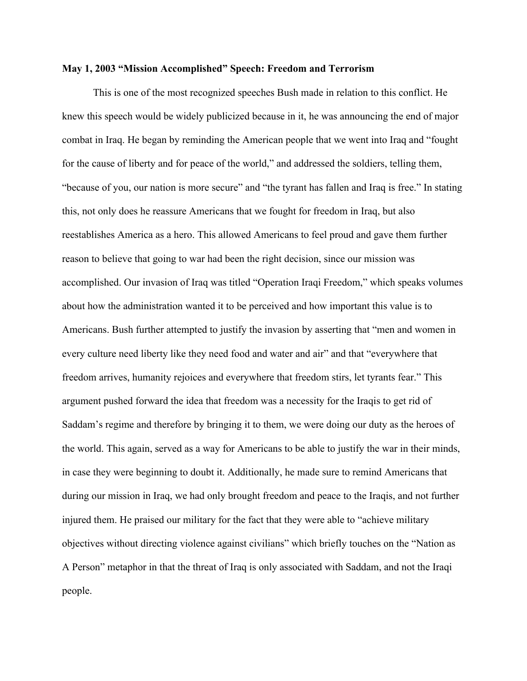## **May 1, 2003 "Mission Accomplished" Speech: Freedom and Terrorism**

This is one of the most recognized speeches Bush made in relation to this conflict. He knew this speech would be widely publicized because in it, he was announcing the end of major combat in Iraq. He began by reminding the American people that we went into Iraq and "fought for the cause of liberty and for peace of the world," and addressed the soldiers, telling them, "because of you, our nation is more secure" and "the tyrant has fallen and Iraq is free." In stating this, not only does he reassure Americans that we fought for freedom in Iraq, but also reestablishes America as a hero. This allowed Americans to feel proud and gave them further reason to believe that going to war had been the right decision, since our mission was accomplished. Our invasion of Iraq was titled "Operation Iraqi Freedom," which speaks volumes about how the administration wanted it to be perceived and how important this value is to Americans. Bush further attempted to justify the invasion by asserting that "men and women in every culture need liberty like they need food and water and air" and that "everywhere that freedom arrives, humanity rejoices and everywhere that freedom stirs, let tyrants fear." This argument pushed forward the idea that freedom was a necessity for the Iraqis to get rid of Saddam's regime and therefore by bringing it to them, we were doing our duty as the heroes of the world. This again, served as a way for Americans to be able to justify the war in their minds, in case they were beginning to doubt it. Additionally, he made sure to remind Americans that during our mission in Iraq, we had only brought freedom and peace to the Iraqis, and not further injured them. He praised our military for the fact that they were able to "achieve military objectives without directing violence against civilians" which briefly touches on the "Nation as A Person" metaphor in that the threat of Iraq is only associated with Saddam, and not the Iraqi people.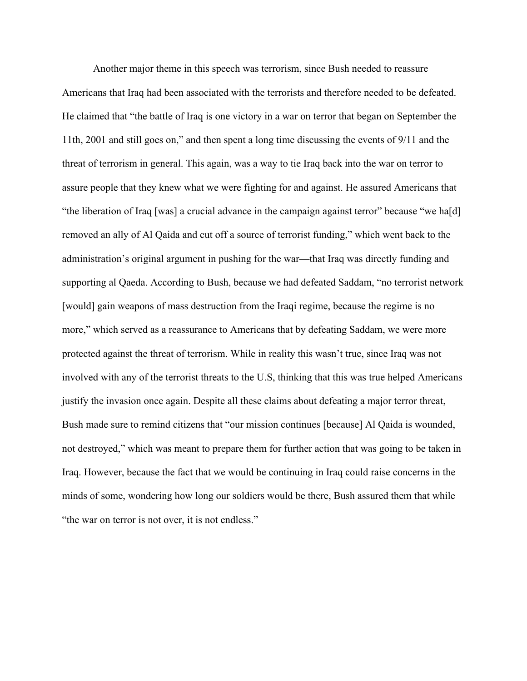Another major theme in this speech was terrorism, since Bush needed to reassure Americans that Iraq had been associated with the terrorists and therefore needed to be defeated. He claimed that "the battle of Iraq is one victory in a war on terror that began on September the 11th, 2001 and still goes on," and then spent a long time discussing the events of 9/11 and the threat of terrorism in general. This again, was a way to tie Iraq back into the war on terror to assure people that they knew what we were fighting for and against. He assured Americans that "the liberation of Iraq [was] a crucial advance in the campaign against terror" because "we ha[d] removed an ally of Al Qaida and cut off a source of terrorist funding," which went back to the administration's original argument in pushing for the war—that Iraq was directly funding and supporting al Qaeda. According to Bush, because we had defeated Saddam, "no terrorist network [would] gain weapons of mass destruction from the Iraqi regime, because the regime is no more," which served as a reassurance to Americans that by defeating Saddam, we were more protected against the threat of terrorism. While in reality this wasn't true, since Iraq was not involved with any of the terrorist threats to the U.S, thinking that this was true helped Americans justify the invasion once again. Despite all these claims about defeating a major terror threat, Bush made sure to remind citizens that "our mission continues [because] Al Qaida is wounded, not destroyed," which was meant to prepare them for further action that was going to be taken in Iraq. However, because the fact that we would be continuing in Iraq could raise concerns in the minds of some, wondering how long our soldiers would be there, Bush assured them that while "the war on terror is not over, it is not endless."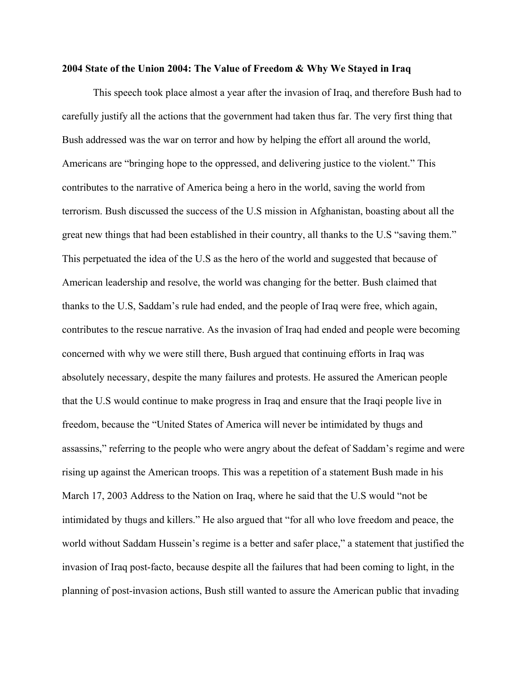## **2004 State of the Union 2004: The Value of Freedom & Why We Stayed in Iraq**

This speech took place almost a year after the invasion of Iraq, and therefore Bush had to carefully justify all the actions that the government had taken thus far. The very first thing that Bush addressed was the war on terror and how by helping the effort all around the world, Americans are "bringing hope to the oppressed, and delivering justice to the violent." This contributes to the narrative of America being a hero in the world, saving the world from terrorism. Bush discussed the success of the U.S mission in Afghanistan, boasting about all the great new things that had been established in their country, all thanks to the U.S "saving them." This perpetuated the idea of the U.S as the hero of the world and suggested that because of American leadership and resolve, the world was changing for the better. Bush claimed that thanks to the U.S, Saddam's rule had ended, and the people of Iraq were free, which again, contributes to the rescue narrative. As the invasion of Iraq had ended and people were becoming concerned with why we were still there, Bush argued that continuing efforts in Iraq was absolutely necessary, despite the many failures and protests. He assured the American people that the U.S would continue to make progress in Iraq and ensure that the Iraqi people live in freedom, because the "United States of America will never be intimidated by thugs and assassins," referring to the people who were angry about the defeat of Saddam's regime and were rising up against the American troops. This was a repetition of a statement Bush made in his March 17, 2003 Address to the Nation on Iraq, where he said that the U.S would "not be intimidated by thugs and killers." He also argued that "for all who love freedom and peace, the world without Saddam Hussein's regime is a better and safer place," a statement that justified the invasion of Iraq post-facto, because despite all the failures that had been coming to light, in the planning of post-invasion actions, Bush still wanted to assure the American public that invading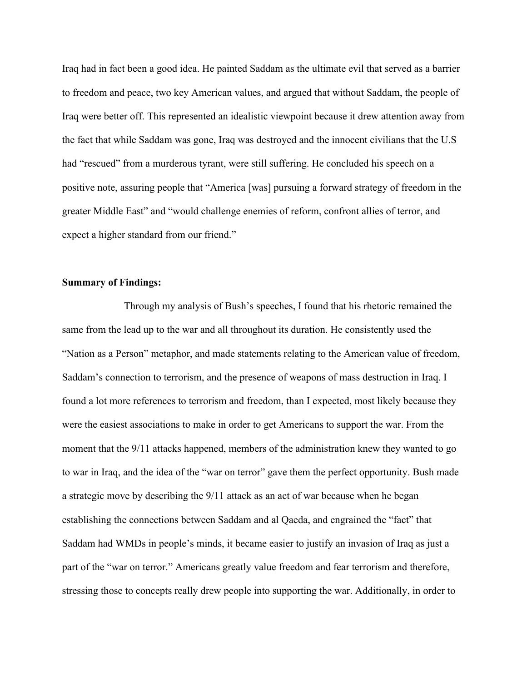Iraq had in fact been a good idea. He painted Saddam as the ultimate evil that served as a barrier to freedom and peace, two key American values, and argued that without Saddam, the people of Iraq were better off. This represented an idealistic viewpoint because it drew attention away from the fact that while Saddam was gone, Iraq was destroyed and the innocent civilians that the U.S had "rescued" from a murderous tyrant, were still suffering. He concluded his speech on a positive note, assuring people that "America [was] pursuing a forward strategy of freedom in the greater Middle East" and "would challenge enemies of reform, confront allies of terror, and expect a higher standard from our friend."

# **Summary of Findings:**

Through my analysis of Bush's speeches, I found that his rhetoric remained the same from the lead up to the war and all throughout its duration. He consistently used the "Nation as a Person" metaphor, and made statements relating to the American value of freedom, Saddam's connection to terrorism, and the presence of weapons of mass destruction in Iraq. I found a lot more references to terrorism and freedom, than I expected, most likely because they were the easiest associations to make in order to get Americans to support the war. From the moment that the 9/11 attacks happened, members of the administration knew they wanted to go to war in Iraq, and the idea of the "war on terror" gave them the perfect opportunity. Bush made a strategic move by describing the 9/11 attack as an act of war because when he began establishing the connections between Saddam and al Qaeda, and engrained the "fact" that Saddam had WMDs in people's minds, it became easier to justify an invasion of Iraq as just a part of the "war on terror." Americans greatly value freedom and fear terrorism and therefore, stressing those to concepts really drew people into supporting the war. Additionally, in order to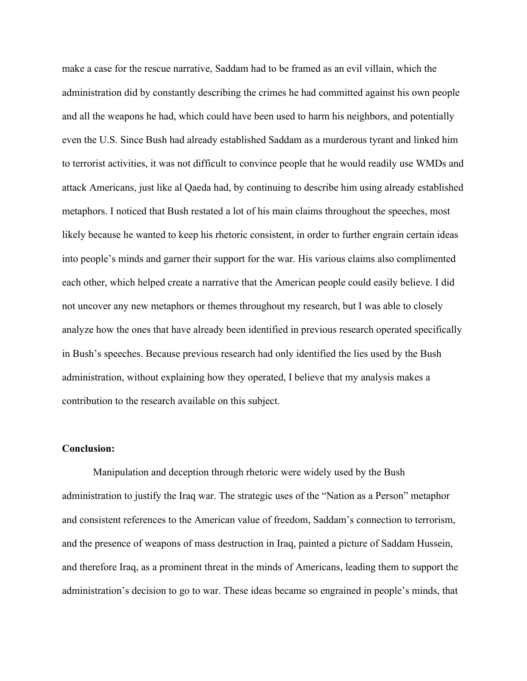make a case for the rescue narrative, Saddam had to be framed as an evil villain, which the administration did by constantly describing the crimes he had committed against his own people and all the weapons he had, which could have been used to harm his neighbors, and potentially even the U.S. Since Bush had already established Saddam as a murderous tyrant and linked him to terrorist activities, it was not difficult to convince people that he would readily use WMDs and attack Americans, just like al Qaeda had, by continuing to describe him using already established metaphors. I noticed that Bush restated a lot of his main claims throughout the speeches, most likely because he wanted to keep his rhetoric consistent, in order to further engrain certain ideas into people's minds and garner their support for the war. His various claims also complimented each other, which helped create a narrative that the American people could easily believe. I did not uncover any new metaphors or themes throughout my research, but I was able to closely analyze how the ones that have already been identified in previous research operated specifically in Bush's speeches. Because previous research had only identified the lies used by the Bush administration, without explaining how they operated, I believe that my analysis makes a contribution to the research available on this subject.

# **Conclusion:**

Manipulation and deception through rhetoric were widely used by the Bush administration to justify the Iraq war. The strategic uses of the "Nation as a Person" metaphor and consistent references to the American value of freedom, Saddam's connection to terrorism, and the presence of weapons of mass destruction in Iraq, painted a picture of Saddam Hussein, and therefore Iraq, as a prominent threat in the minds of Americans, leading them to support the administration's decision to go to war. These ideas became so engrained in people's minds, that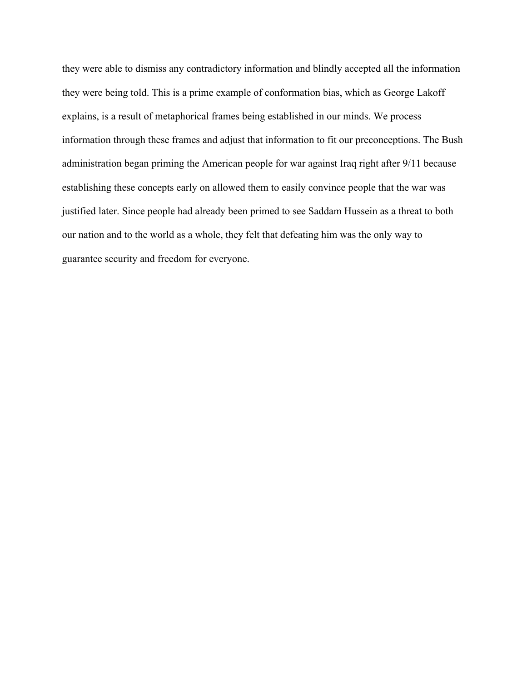they were able to dismiss any contradictory information and blindly accepted all the information they were being told. This is a prime example of conformation bias, which as George Lakoff explains, is a result of metaphorical frames being established in our minds. We process information through these frames and adjust that information to fit our preconceptions. The Bush administration began priming the American people for war against Iraq right after 9/11 because establishing these concepts early on allowed them to easily convince people that the war was justified later. Since people had already been primed to see Saddam Hussein as a threat to both our nation and to the world as a whole, they felt that defeating him was the only way to guarantee security and freedom for everyone.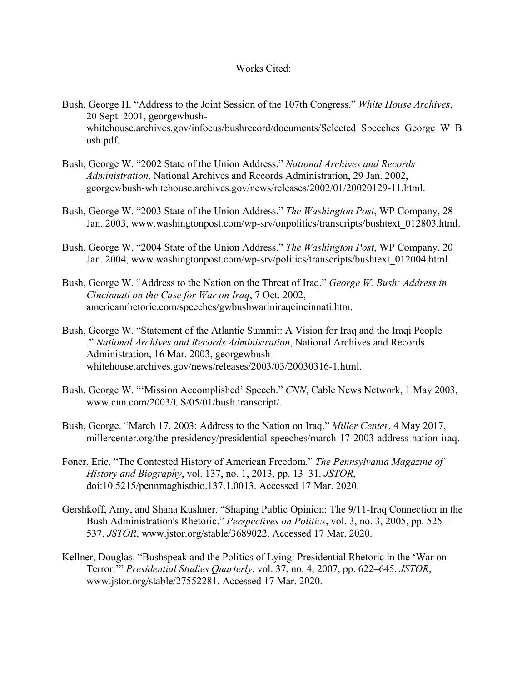# Works Cited:

- Bush, George H. "Address to the Joint Session of the 107th Congress." *White House Archives*, 20 Sept. 2001, georgewbushwhitehouse.archives.gov/infocus/bushrecord/documents/Selected Speeches George W B ush.pdf.
- Bush, George W. "2002 State of the Union Address." *National Archives and Records Administration*, National Archives and Records Administration, 29 Jan. 2002, georgewbush-whitehouse.archives.gov/news/releases/2002/01/20020129-11.html.
- Bush, George W. "2003 State of the Union Address." *The Washington Post*, WP Company, 28 Jan. 2003, www.washingtonpost.com/wp-srv/onpolitics/transcripts/bushtext\_012803.html.
- Bush, George W. "2004 State of the Union Address." *The Washington Post*, WP Company, 20 Jan. 2004, www.washingtonpost.com/wp-srv/politics/transcripts/bushtext\_012004.html.
- Bush, George W. "Address to the Nation on the Threat of Iraq." *George W. Bush: Address in Cincinnati on the Case for War on Iraq*, 7 Oct. 2002, americanrhetoric.com/speeches/gwbushwariniraqcincinnati.htm.
- Bush, George W. "Statement of the Atlantic Summit: A Vision for Iraq and the Iraqi People ." *National Archives and Records Administration*, National Archives and Records Administration, 16 Mar. 2003, georgewbushwhitehouse.archives.gov/news/releases/2003/03/20030316-1.html.
- Bush, George W. "'Mission Accomplished' Speech." *CNN*, Cable News Network, 1 May 2003, www.cnn.com/2003/US/05/01/bush.transcript/.
- Bush, George. "March 17, 2003: Address to the Nation on Iraq." *Miller Center*, 4 May 2017, millercenter.org/the-presidency/presidential-speeches/march-17-2003-address-nation-iraq.
- Foner, Eric. "The Contested History of American Freedom." *The Pennsylvania Magazine of History and Biography*, vol. 137, no. 1, 2013, pp. 13–31. *JSTOR*, doi:10.5215/pennmaghistbio.137.1.0013. Accessed 17 Mar. 2020.
- Gershkoff, Amy, and Shana Kushner. "Shaping Public Opinion: The 9/11-Iraq Connection in the Bush Administration's Rhetoric." *Perspectives on Politics*, vol. 3, no. 3, 2005, pp. 525– 537. *JSTOR*, www.jstor.org/stable/3689022. Accessed 17 Mar. 2020.
- Kellner, Douglas. "Bushspeak and the Politics of Lying: Presidential Rhetoric in the 'War on Terror.'" *Presidential Studies Quarterly*, vol. 37, no. 4, 2007, pp. 622–645. *JSTOR*, www.jstor.org/stable/27552281. Accessed 17 Mar. 2020.